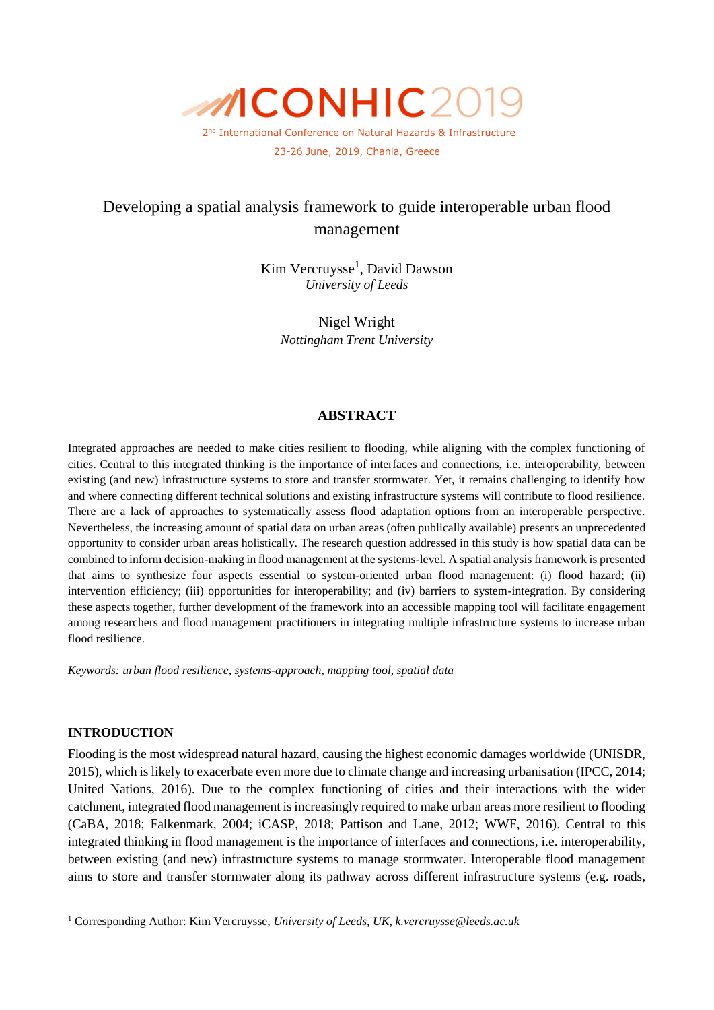

# Developing a spatial analysis framework to guide interoperable urban flood management

Kim Vercruysse<sup>1</sup>, David Dawson *University of Leeds*

> Nigel Wright *Nottingham Trent University*

# **ABSTRACT**

Integrated approaches are needed to make cities resilient to flooding, while aligning with the complex functioning of cities. Central to this integrated thinking is the importance of interfaces and connections, i.e. interoperability, between existing (and new) infrastructure systems to store and transfer stormwater. Yet, it remains challenging to identify how and where connecting different technical solutions and existing infrastructure systems will contribute to flood resilience. There are a lack of approaches to systematically assess flood adaptation options from an interoperable perspective. Nevertheless, the increasing amount of spatial data on urban areas (often publically available) presents an unprecedented opportunity to consider urban areas holistically. The research question addressed in this study is how spatial data can be combined to inform decision-making in flood management at the systems-level. A spatial analysis framework is presented that aims to synthesize four aspects essential to system-oriented urban flood management: (i) flood hazard; (ii) intervention efficiency; (iii) opportunities for interoperability; and (iv) barriers to system-integration. By considering these aspects together, further development of the framework into an accessible mapping tool will facilitate engagement among researchers and flood management practitioners in integrating multiple infrastructure systems to increase urban flood resilience.

*Keywords: urban flood resilience, systems-approach, mapping tool, spatial data* 

#### **INTRODUCTION**

-

Flooding is the most widespread natural hazard, causing the highest economic damages worldwide (UNISDR, 2015), which is likely to exacerbate even more due to climate change and increasing urbanisation (IPCC, 2014; United Nations, 2016). Due to the complex functioning of cities and their interactions with the wider catchment, integrated flood management is increasingly required to make urban areas more resilient to flooding (CaBA, 2018; Falkenmark, 2004; iCASP, 2018; Pattison and Lane, 2012; WWF, 2016). Central to this integrated thinking in flood management is the importance of interfaces and connections, i.e. interoperability, between existing (and new) infrastructure systems to manage stormwater. Interoperable flood management aims to store and transfer stormwater along its pathway across different infrastructure systems (e.g. roads,

<sup>1</sup> Corresponding Author: Kim Vercruysse, *University of Leeds, UK, k.vercruysse@leeds.ac.uk*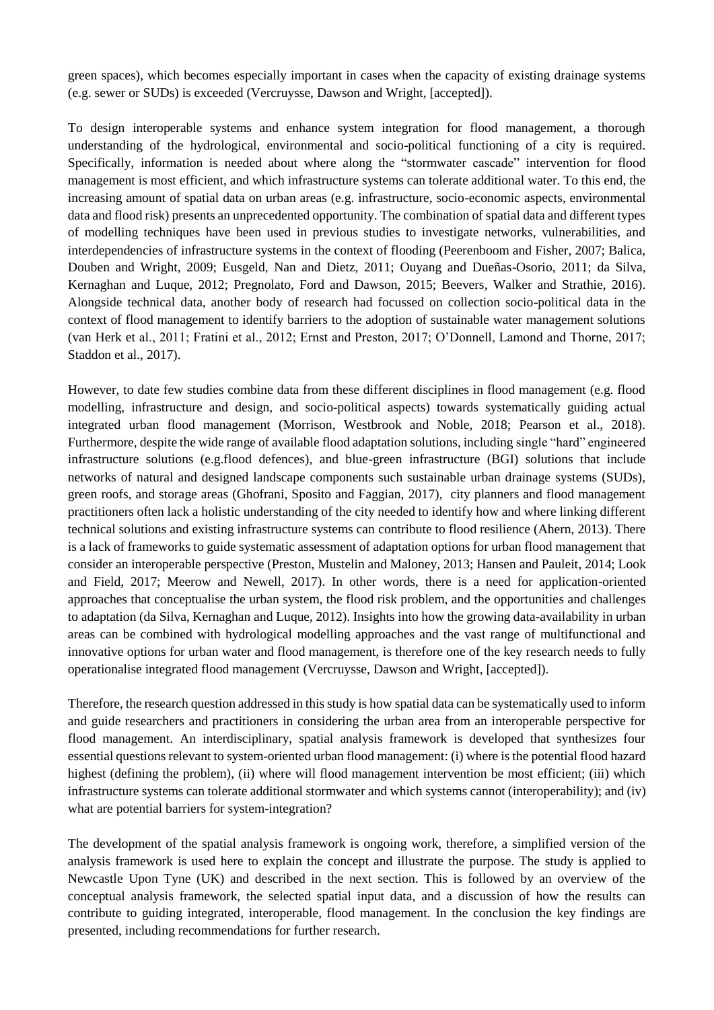green spaces), which becomes especially important in cases when the capacity of existing drainage systems (e.g. sewer or SUDs) is exceeded (Vercruysse, Dawson and Wright, [accepted]).

To design interoperable systems and enhance system integration for flood management, a thorough understanding of the hydrological, environmental and socio-political functioning of a city is required. Specifically, information is needed about where along the "stormwater cascade" intervention for flood management is most efficient, and which infrastructure systems can tolerate additional water. To this end, the increasing amount of spatial data on urban areas (e.g. infrastructure, socio-economic aspects, environmental data and flood risk) presents an unprecedented opportunity. The combination of spatial data and different types of modelling techniques have been used in previous studies to investigate networks, vulnerabilities, and interdependencies of infrastructure systems in the context of flooding (Peerenboom and Fisher, 2007; Balica, Douben and Wright, 2009; Eusgeld, Nan and Dietz, 2011; Ouyang and Dueñas-Osorio, 2011; da Silva, Kernaghan and Luque, 2012; Pregnolato, Ford and Dawson, 2015; Beevers, Walker and Strathie, 2016). Alongside technical data, another body of research had focussed on collection socio-political data in the context of flood management to identify barriers to the adoption of sustainable water management solutions (van Herk et al., 2011; Fratini et al., 2012; Ernst and Preston, 2017; O'Donnell, Lamond and Thorne, 2017; Staddon et al., 2017).

However, to date few studies combine data from these different disciplines in flood management (e.g. flood modelling, infrastructure and design, and socio-political aspects) towards systematically guiding actual integrated urban flood management (Morrison, Westbrook and Noble, 2018; Pearson et al., 2018). Furthermore, despite the wide range of available flood adaptation solutions, including single "hard" engineered infrastructure solutions (e.g.flood defences), and blue-green infrastructure (BGI) solutions that include networks of natural and designed landscape components such sustainable urban drainage systems (SUDs), green roofs, and storage areas (Ghofrani, Sposito and Faggian, 2017), city planners and flood management practitioners often lack a holistic understanding of the city needed to identify how and where linking different technical solutions and existing infrastructure systems can contribute to flood resilience (Ahern, 2013). There is a lack of frameworks to guide systematic assessment of adaptation options for urban flood management that consider an interoperable perspective (Preston, Mustelin and Maloney, 2013; Hansen and Pauleit, 2014; Look and Field, 2017; Meerow and Newell, 2017). In other words, there is a need for application-oriented approaches that conceptualise the urban system, the flood risk problem, and the opportunities and challenges to adaptation (da Silva, Kernaghan and Luque, 2012). Insights into how the growing data-availability in urban areas can be combined with hydrological modelling approaches and the vast range of multifunctional and innovative options for urban water and flood management, is therefore one of the key research needs to fully operationalise integrated flood management (Vercruysse, Dawson and Wright, [accepted]).

Therefore, the research question addressed in this study is how spatial data can be systematically used to inform and guide researchers and practitioners in considering the urban area from an interoperable perspective for flood management. An interdisciplinary, spatial analysis framework is developed that synthesizes four essential questions relevant to system-oriented urban flood management: (i) where is the potential flood hazard highest (defining the problem), (ii) where will flood management intervention be most efficient; (iii) which infrastructure systems can tolerate additional stormwater and which systems cannot (interoperability); and (iv) what are potential barriers for system-integration?

The development of the spatial analysis framework is ongoing work, therefore, a simplified version of the analysis framework is used here to explain the concept and illustrate the purpose. The study is applied to Newcastle Upon Tyne (UK) and described in the next section. This is followed by an overview of the conceptual analysis framework, the selected spatial input data, and a discussion of how the results can contribute to guiding integrated, interoperable, flood management. In the conclusion the key findings are presented, including recommendations for further research.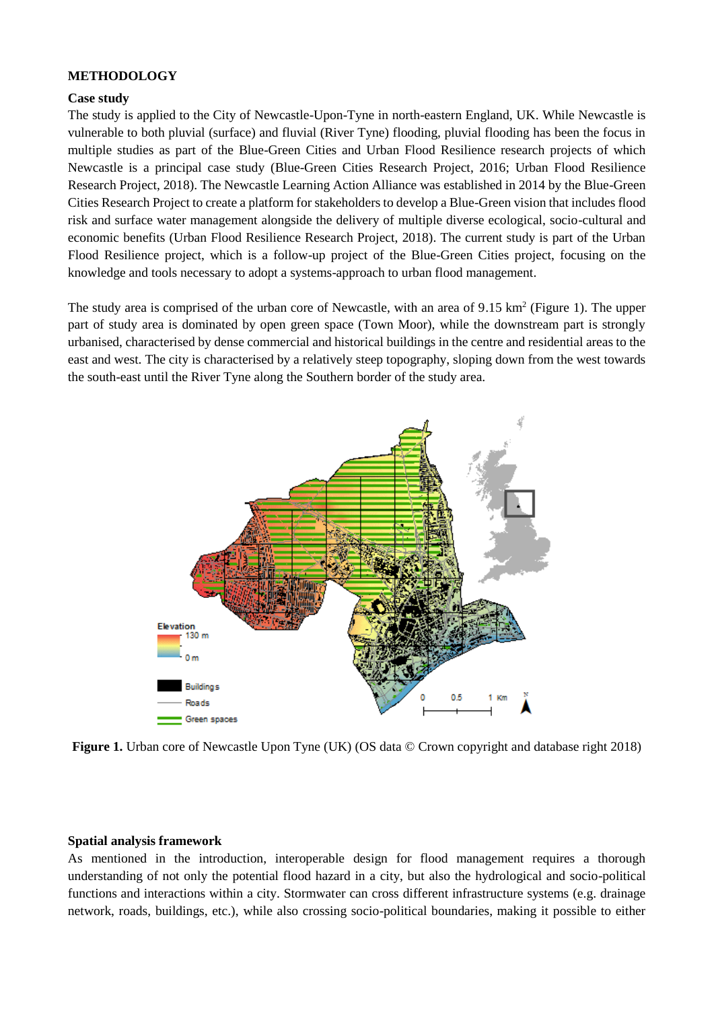# **METHODOLOGY**

### **Case study**

The study is applied to the City of Newcastle-Upon-Tyne in north-eastern England, UK. While Newcastle is vulnerable to both pluvial (surface) and fluvial (River Tyne) flooding, pluvial flooding has been the focus in multiple studies as part of the Blue-Green Cities and Urban Flood Resilience research projects of which Newcastle is a principal case study (Blue-Green Cities Research Project, 2016; Urban Flood Resilience Research Project, 2018). The Newcastle Learning Action Alliance was established in 2014 by the Blue-Green Cities Research Project to create a platform for stakeholders to develop a Blue-Green vision that includes flood risk and surface water management alongside the delivery of multiple diverse ecological, socio-cultural and economic benefits (Urban Flood Resilience Research Project, 2018). The current study is part of the Urban Flood Resilience project, which is a follow-up project of the Blue-Green Cities project, focusing on the knowledge and tools necessary to adopt a systems-approach to urban flood management.

The study area is comprised of the urban core of Newcastle, with an area of  $9.15 \text{ km}^2$  (Figure 1). The upper part of study area is dominated by open green space (Town Moor), while the downstream part is strongly urbanised, characterised by dense commercial and historical buildings in the centre and residential areas to the east and west. The city is characterised by a relatively steep topography, sloping down from the west towards the south-east until the River Tyne along the Southern border of the study area.



**Figure 1.** Urban core of Newcastle Upon Tyne (UK) (OS data © Crown copyright and database right 2018)

#### **Spatial analysis framework**

As mentioned in the introduction, interoperable design for flood management requires a thorough understanding of not only the potential flood hazard in a city, but also the hydrological and socio-political functions and interactions within a city. Stormwater can cross different infrastructure systems (e.g. drainage network, roads, buildings, etc.), while also crossing socio-political boundaries, making it possible to either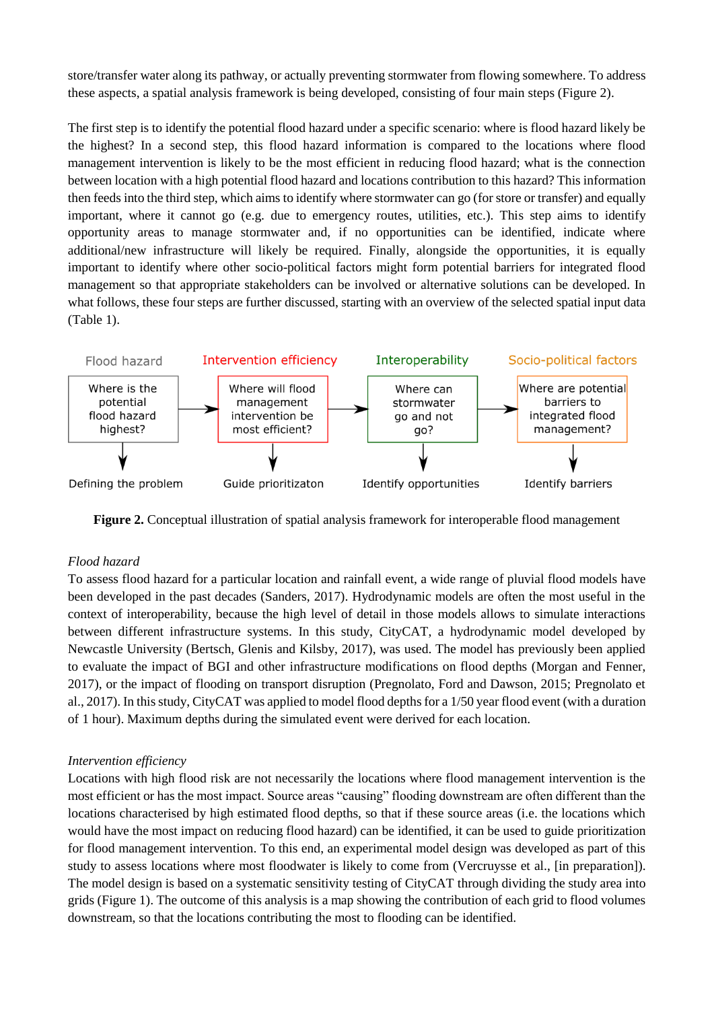store/transfer water along its pathway, or actually preventing stormwater from flowing somewhere. To address these aspects, a spatial analysis framework is being developed, consisting of four main steps (Figure 2).

The first step is to identify the potential flood hazard under a specific scenario: where is flood hazard likely be the highest? In a second step, this flood hazard information is compared to the locations where flood management intervention is likely to be the most efficient in reducing flood hazard; what is the connection between location with a high potential flood hazard and locations contribution to this hazard? This information then feeds into the third step, which aims to identify where stormwater can go (for store or transfer) and equally important, where it cannot go (e.g. due to emergency routes, utilities, etc.). This step aims to identify opportunity areas to manage stormwater and, if no opportunities can be identified, indicate where additional/new infrastructure will likely be required. Finally, alongside the opportunities, it is equally important to identify where other socio-political factors might form potential barriers for integrated flood management so that appropriate stakeholders can be involved or alternative solutions can be developed. In what follows, these four steps are further discussed, starting with an overview of the selected spatial input data (Table 1).



**Figure 2.** Conceptual illustration of spatial analysis framework for interoperable flood management

# *Flood hazard*

To assess flood hazard for a particular location and rainfall event, a wide range of pluvial flood models have been developed in the past decades (Sanders, 2017). Hydrodynamic models are often the most useful in the context of interoperability, because the high level of detail in those models allows to simulate interactions between different infrastructure systems. In this study, CityCAT, a hydrodynamic model developed by Newcastle University (Bertsch, Glenis and Kilsby, 2017), was used. The model has previously been applied to evaluate the impact of BGI and other infrastructure modifications on flood depths (Morgan and Fenner, 2017), or the impact of flooding on transport disruption (Pregnolato, Ford and Dawson, 2015; Pregnolato et al., 2017). In this study, CityCAT was applied to model flood depths for a 1/50 year flood event (with a duration of 1 hour). Maximum depths during the simulated event were derived for each location.

#### *Intervention efficiency*

Locations with high flood risk are not necessarily the locations where flood management intervention is the most efficient or has the most impact. Source areas "causing" flooding downstream are often different than the locations characterised by high estimated flood depths, so that if these source areas (i.e. the locations which would have the most impact on reducing flood hazard) can be identified, it can be used to guide prioritization for flood management intervention. To this end, an experimental model design was developed as part of this study to assess locations where most floodwater is likely to come from (Vercruysse et al., [in preparation]). The model design is based on a systematic sensitivity testing of CityCAT through dividing the study area into grids (Figure 1). The outcome of this analysis is a map showing the contribution of each grid to flood volumes downstream, so that the locations contributing the most to flooding can be identified.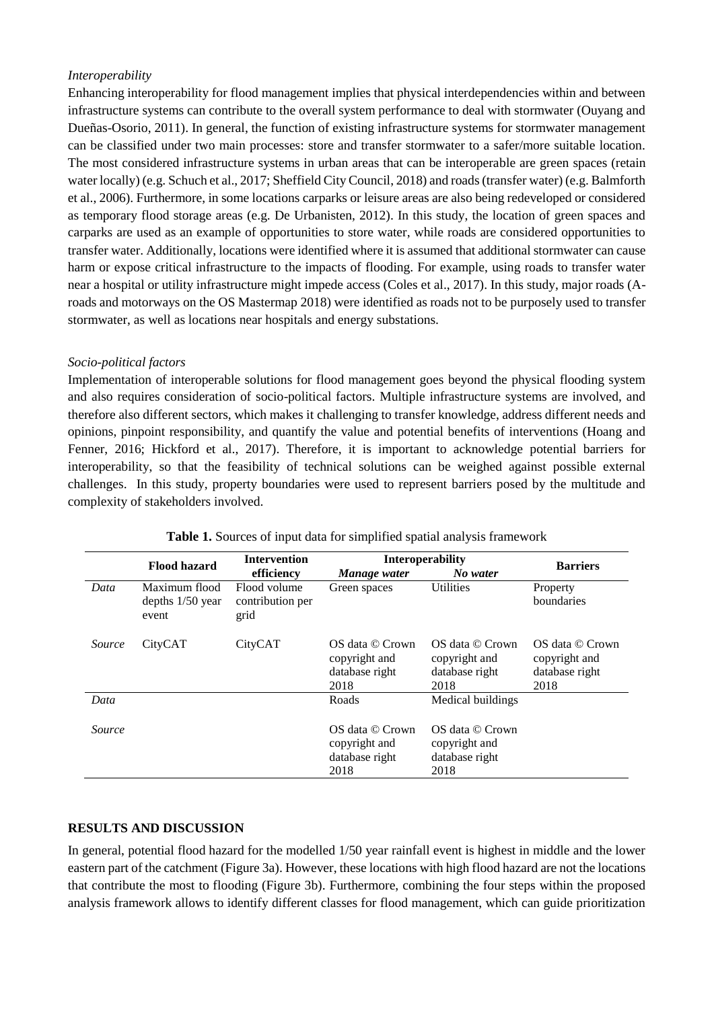# *Interoperability*

Enhancing interoperability for flood management implies that physical interdependencies within and between infrastructure systems can contribute to the overall system performance to deal with stormwater (Ouyang and Dueñas-Osorio, 2011). In general, the function of existing infrastructure systems for stormwater management can be classified under two main processes: store and transfer stormwater to a safer/more suitable location. The most considered infrastructure systems in urban areas that can be interoperable are green spaces (retain water locally) (e.g. Schuch et al., 2017; Sheffield City Council, 2018) and roads (transfer water) (e.g. Balmforth et al., 2006). Furthermore, in some locations carparks or leisure areas are also being redeveloped or considered as temporary flood storage areas (e.g. De Urbanisten, 2012). In this study, the location of green spaces and carparks are used as an example of opportunities to store water, while roads are considered opportunities to transfer water. Additionally, locations were identified where it is assumed that additional stormwater can cause harm or expose critical infrastructure to the impacts of flooding. For example, using roads to transfer water near a hospital or utility infrastructure might impede access (Coles et al., 2017). In this study, major roads (Aroads and motorways on the OS Mastermap 2018) were identified as roads not to be purposely used to transfer stormwater, as well as locations near hospitals and energy substations.

# *Socio-political factors*

Implementation of interoperable solutions for flood management goes beyond the physical flooding system and also requires consideration of socio-political factors. Multiple infrastructure systems are involved, and therefore also different sectors, which makes it challenging to transfer knowledge, address different needs and opinions, pinpoint responsibility, and quantify the value and potential benefits of interventions (Hoang and Fenner, 2016; Hickford et al., 2017). Therefore, it is important to acknowledge potential barriers for interoperability, so that the feasibility of technical solutions can be weighed against possible external challenges. In this study, property boundaries were used to represent barriers posed by the multitude and complexity of stakeholders involved.

|        | Flood hazard                                 | <b>Intervention</b>                      | <b>Interoperability</b>                                    |                                                            |                                                            |  |
|--------|----------------------------------------------|------------------------------------------|------------------------------------------------------------|------------------------------------------------------------|------------------------------------------------------------|--|
|        |                                              | efficiency                               | Manage water                                               | No water                                                   | <b>Barriers</b>                                            |  |
| Data   | Maximum flood<br>depths $1/50$ year<br>event | Flood volume<br>contribution per<br>grid | Green spaces                                               | <b>Utilities</b>                                           | Property<br>boundaries                                     |  |
| Source | CityCAT                                      | CityCAT                                  | OS data © Crown<br>copyright and<br>database right<br>2018 | OS data © Crown<br>copyright and<br>database right<br>2018 | OS data © Crown<br>copyright and<br>database right<br>2018 |  |
| Data   |                                              |                                          | Roads                                                      | Medical buildings                                          |                                                            |  |
| Source |                                              |                                          | OS data © Crown<br>copyright and<br>database right<br>2018 | OS data © Crown<br>copyright and<br>database right<br>2018 |                                                            |  |

| Table 1. Sources of input data for simplified spatial analysis framework |  |  |  |
|--------------------------------------------------------------------------|--|--|--|
|                                                                          |  |  |  |

# **RESULTS AND DISCUSSION**

In general, potential flood hazard for the modelled 1/50 year rainfall event is highest in middle and the lower eastern part of the catchment (Figure 3a). However, these locations with high flood hazard are not the locations that contribute the most to flooding (Figure 3b). Furthermore, combining the four steps within the proposed analysis framework allows to identify different classes for flood management, which can guide prioritization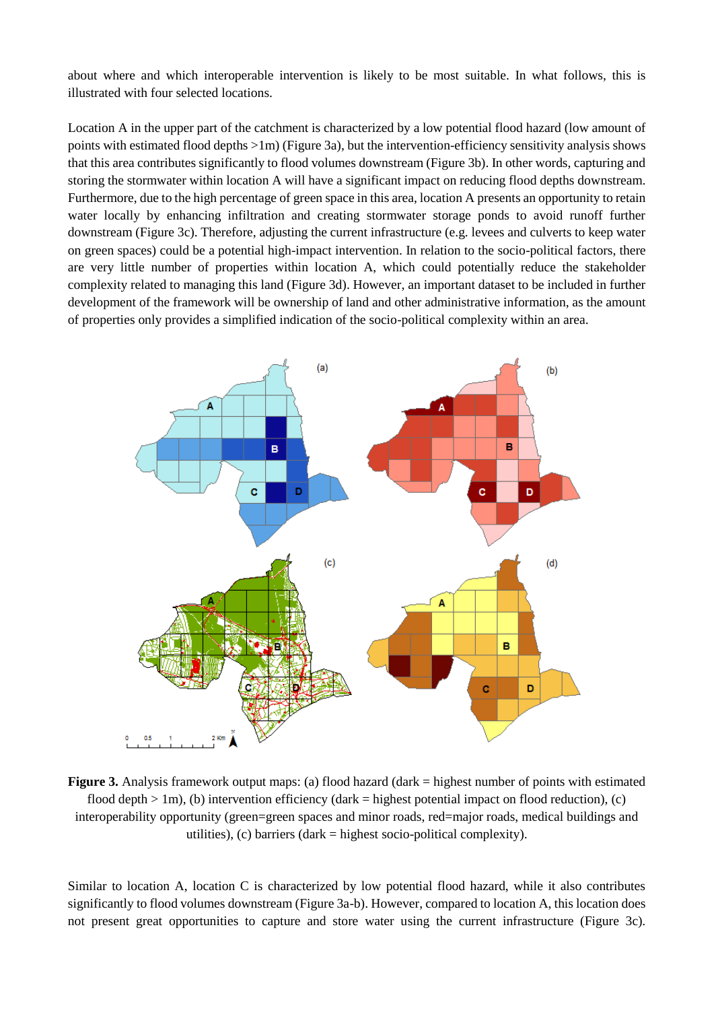about where and which interoperable intervention is likely to be most suitable. In what follows, this is illustrated with four selected locations.

Location A in the upper part of the catchment is characterized by a low potential flood hazard (low amount of points with estimated flood depths >1m) (Figure 3a), but the intervention-efficiency sensitivity analysis shows that this area contributes significantly to flood volumes downstream (Figure 3b). In other words, capturing and storing the stormwater within location A will have a significant impact on reducing flood depths downstream. Furthermore, due to the high percentage of green space in this area, location A presents an opportunity to retain water locally by enhancing infiltration and creating stormwater storage ponds to avoid runoff further downstream (Figure 3c). Therefore, adjusting the current infrastructure (e.g. levees and culverts to keep water on green spaces) could be a potential high-impact intervention. In relation to the socio-political factors, there are very little number of properties within location A, which could potentially reduce the stakeholder complexity related to managing this land (Figure 3d). However, an important dataset to be included in further development of the framework will be ownership of land and other administrative information, as the amount of properties only provides a simplified indication of the socio-political complexity within an area.



**Figure 3.** Analysis framework output maps: (a) flood hazard (dark = highest number of points with estimated flood depth  $> 1$ m), (b) intervention efficiency (dark = highest potential impact on flood reduction), (c) interoperability opportunity (green=green spaces and minor roads, red=major roads, medical buildings and utilities), (c) barriers (dark = highest socio-political complexity).

Similar to location A, location C is characterized by low potential flood hazard, while it also contributes significantly to flood volumes downstream (Figure 3a-b). However, compared to location A, this location does not present great opportunities to capture and store water using the current infrastructure (Figure 3c).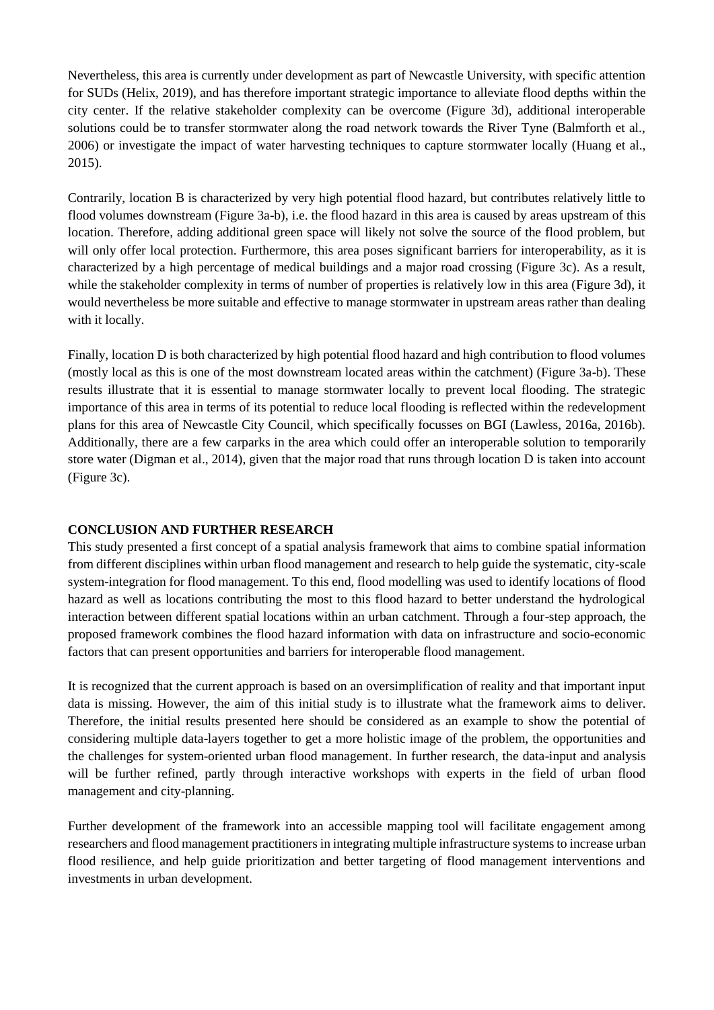Nevertheless, this area is currently under development as part of Newcastle University, with specific attention for SUDs (Helix, 2019), and has therefore important strategic importance to alleviate flood depths within the city center. If the relative stakeholder complexity can be overcome (Figure 3d), additional interoperable solutions could be to transfer stormwater along the road network towards the River Tyne (Balmforth et al., 2006) or investigate the impact of water harvesting techniques to capture stormwater locally (Huang et al., 2015).

Contrarily, location B is characterized by very high potential flood hazard, but contributes relatively little to flood volumes downstream (Figure 3a-b), i.e. the flood hazard in this area is caused by areas upstream of this location. Therefore, adding additional green space will likely not solve the source of the flood problem, but will only offer local protection. Furthermore, this area poses significant barriers for interoperability, as it is characterized by a high percentage of medical buildings and a major road crossing (Figure 3c). As a result, while the stakeholder complexity in terms of number of properties is relatively low in this area (Figure 3d), it would nevertheless be more suitable and effective to manage stormwater in upstream areas rather than dealing with it locally.

Finally, location D is both characterized by high potential flood hazard and high contribution to flood volumes (mostly local as this is one of the most downstream located areas within the catchment) (Figure 3a-b). These results illustrate that it is essential to manage stormwater locally to prevent local flooding. The strategic importance of this area in terms of its potential to reduce local flooding is reflected within the redevelopment plans for this area of Newcastle City Council, which specifically focusses on BGI (Lawless, 2016a, 2016b). Additionally, there are a few carparks in the area which could offer an interoperable solution to temporarily store water (Digman et al., 2014), given that the major road that runs through location D is taken into account (Figure 3c).

#### **CONCLUSION AND FURTHER RESEARCH**

This study presented a first concept of a spatial analysis framework that aims to combine spatial information from different disciplines within urban flood management and research to help guide the systematic, city-scale system-integration for flood management. To this end, flood modelling was used to identify locations of flood hazard as well as locations contributing the most to this flood hazard to better understand the hydrological interaction between different spatial locations within an urban catchment. Through a four-step approach, the proposed framework combines the flood hazard information with data on infrastructure and socio-economic factors that can present opportunities and barriers for interoperable flood management.

It is recognized that the current approach is based on an oversimplification of reality and that important input data is missing. However, the aim of this initial study is to illustrate what the framework aims to deliver. Therefore, the initial results presented here should be considered as an example to show the potential of considering multiple data-layers together to get a more holistic image of the problem, the opportunities and the challenges for system-oriented urban flood management. In further research, the data-input and analysis will be further refined, partly through interactive workshops with experts in the field of urban flood management and city-planning.

Further development of the framework into an accessible mapping tool will facilitate engagement among researchers and flood management practitioners in integrating multiple infrastructure systems to increase urban flood resilience, and help guide prioritization and better targeting of flood management interventions and investments in urban development.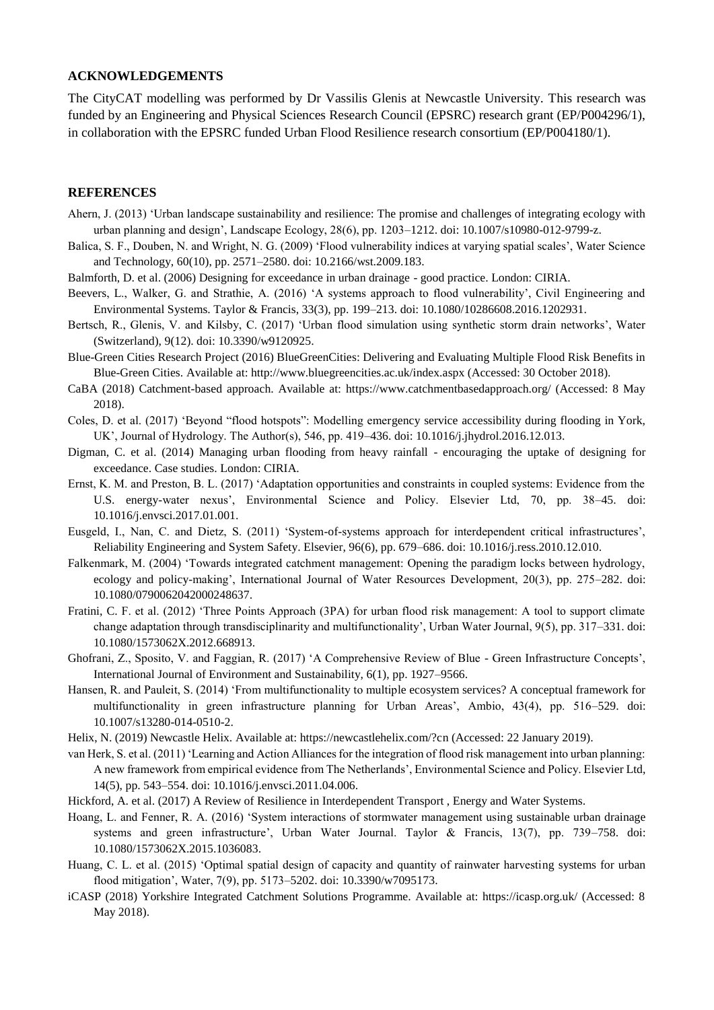#### **ACKNOWLEDGEMENTS**

The CityCAT modelling was performed by Dr Vassilis Glenis at Newcastle University. This research was funded by an Engineering and Physical Sciences Research Council (EPSRC) research grant (EP/P004296/1), in collaboration with the EPSRC funded Urban Flood Resilience research consortium (EP/P004180/1).

#### **REFERENCES**

- Ahern, J. (2013) 'Urban landscape sustainability and resilience: The promise and challenges of integrating ecology with urban planning and design', Landscape Ecology, 28(6), pp. 1203–1212. doi: 10.1007/s10980-012-9799-z.
- Balica, S. F., Douben, N. and Wright, N. G. (2009) 'Flood vulnerability indices at varying spatial scales', Water Science and Technology, 60(10), pp. 2571–2580. doi: 10.2166/wst.2009.183.
- Balmforth, D. et al. (2006) Designing for exceedance in urban drainage good practice. London: CIRIA.
- Beevers, L., Walker, G. and Strathie, A. (2016) 'A systems approach to flood vulnerability', Civil Engineering and Environmental Systems. Taylor & Francis, 33(3), pp. 199–213. doi: 10.1080/10286608.2016.1202931.
- Bertsch, R., Glenis, V. and Kilsby, C. (2017) 'Urban flood simulation using synthetic storm drain networks', Water (Switzerland), 9(12). doi: 10.3390/w9120925.
- Blue-Green Cities Research Project (2016) BlueGreenCities: Delivering and Evaluating Multiple Flood Risk Benefits in Blue-Green Cities. Available at: http://www.bluegreencities.ac.uk/index.aspx (Accessed: 30 October 2018).
- CaBA (2018) Catchment-based approach. Available at: https://www.catchmentbasedapproach.org/ (Accessed: 8 May 2018).
- Coles, D. et al. (2017) 'Beyond "flood hotspots": Modelling emergency service accessibility during flooding in York, UK', Journal of Hydrology. The Author(s), 546, pp. 419–436. doi: 10.1016/j.jhydrol.2016.12.013.
- Digman, C. et al. (2014) Managing urban flooding from heavy rainfall encouraging the uptake of designing for exceedance. Case studies. London: CIRIA.
- Ernst, K. M. and Preston, B. L. (2017) 'Adaptation opportunities and constraints in coupled systems: Evidence from the U.S. energy-water nexus', Environmental Science and Policy. Elsevier Ltd, 70, pp. 38–45. doi: 10.1016/j.envsci.2017.01.001.
- Eusgeld, I., Nan, C. and Dietz, S. (2011) 'System-of-systems approach for interdependent critical infrastructures', Reliability Engineering and System Safety. Elsevier, 96(6), pp. 679–686. doi: 10.1016/j.ress.2010.12.010.
- Falkenmark, M. (2004) 'Towards integrated catchment management: Opening the paradigm locks between hydrology, ecology and policy-making', International Journal of Water Resources Development, 20(3), pp. 275–282. doi: 10.1080/0790062042000248637.
- Fratini, C. F. et al. (2012) 'Three Points Approach (3PA) for urban flood risk management: A tool to support climate change adaptation through transdisciplinarity and multifunctionality', Urban Water Journal, 9(5), pp. 317–331. doi: 10.1080/1573062X.2012.668913.
- Ghofrani, Z., Sposito, V. and Faggian, R. (2017) 'A Comprehensive Review of Blue Green Infrastructure Concepts', International Journal of Environment and Sustainability, 6(1), pp. 1927–9566.
- Hansen, R. and Pauleit, S. (2014) 'From multifunctionality to multiple ecosystem services? A conceptual framework for multifunctionality in green infrastructure planning for Urban Areas', Ambio, 43(4), pp. 516–529. doi: 10.1007/s13280-014-0510-2.
- Helix, N. (2019) Newcastle Helix. Available at: https://newcastlehelix.com/?cn (Accessed: 22 January 2019).
- van Herk, S. et al. (2011) 'Learning and Action Alliances for the integration of flood risk management into urban planning: A new framework from empirical evidence from The Netherlands', Environmental Science and Policy. Elsevier Ltd, 14(5), pp. 543–554. doi: 10.1016/j.envsci.2011.04.006.
- Hickford, A. et al. (2017) A Review of Resilience in Interdependent Transport , Energy and Water Systems.
- Hoang, L. and Fenner, R. A. (2016) 'System interactions of stormwater management using sustainable urban drainage systems and green infrastructure', Urban Water Journal. Taylor & Francis, 13(7), pp. 739–758. doi: 10.1080/1573062X.2015.1036083.
- Huang, C. L. et al. (2015) 'Optimal spatial design of capacity and quantity of rainwater harvesting systems for urban flood mitigation', Water, 7(9), pp. 5173–5202. doi: 10.3390/w7095173.
- iCASP (2018) Yorkshire Integrated Catchment Solutions Programme. Available at: https://icasp.org.uk/ (Accessed: 8 May 2018).